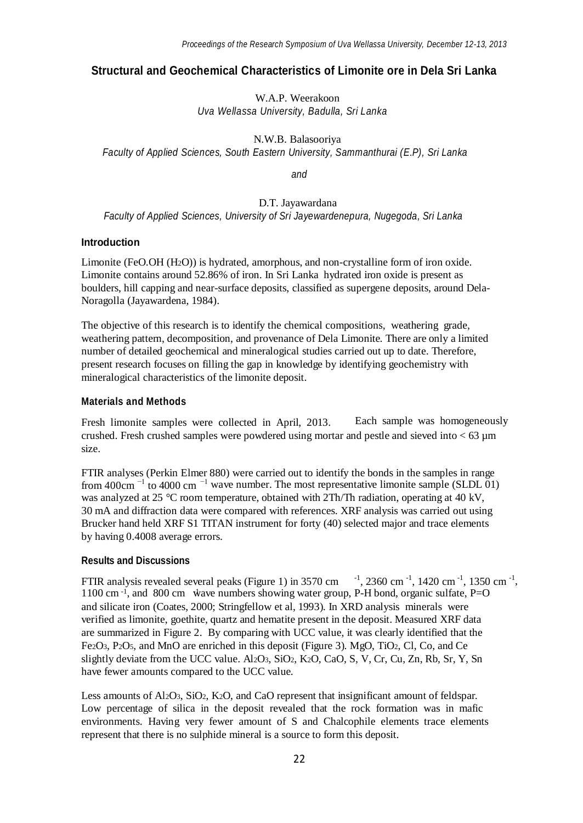# **Structural and Geochemical Characteristics of Limonite ore in Dela Sri Lanka**

W.A.P. Weerakoon *Uva Wellassa University, Badulla, Sri Lanka*

N.W.B. Balasooriya *Faculty of Applied Sciences, South Eastern University, Sammanthurai (E.P), Sri Lanka*

*and*

D.T. Jayawardana *Faculty of Applied Sciences, University of Sri Jayewardenepura, Nugegoda, Sri Lanka*

#### **Introduction**

Limonite (FeO.OH (H2O)) is hydrated, amorphous, and non-crystalline form of iron oxide. Limonite contains around 52.86% of iron. In Sri Lanka hydrated iron oxide is present as boulders, hill capping and near-surface deposits, classified as supergene deposits, around Dela-Noragolla (Jayawardena, 1984).

The objective of this research is to identify the chemical compositions, weathering grade, weathering pattern, decomposition, and provenance of Dela Limonite. There are only a limited number of detailed geochemical and mineralogical studies carried out up to date. Therefore, present research focuses on filling the gap in knowledge by identifying geochemistry with mineralogical characteristics of the limonite deposit.

## **Materials and Methods**

Fresh limonite samples were collected in April, 2013. crushed. Fresh crushed samples were powdered using mortar and pestle and sieved into  $<$  63  $\mu$ m size. Each sample was homogeneously

from 400cm<sup> $-1$ </sup> to 4000 cm<sup> $-1$ </sup> wave number. The most representative limonite sample (SLDL 01) FTIR analyses (Perkin Elmer 880) were carried out to identify the bonds in the samples in range was analyzed at 25 °C room temperature, obtained with 2Th/Th radiation, operating at 40 kV, 30 mA and diffraction data were compared with references. XRF analysis was carried out using Brucker hand held XRF S1 TITAN instrument for forty (40) selected major and trace elements by having 0.4008 average errors.

#### **Results and Discussions**

FTIR analysis revealed several peaks (Figure 1) in 3570 cm  $^{-1}$ , 2360 cm<sup>-1</sup>, 1420 cm<sup>-1</sup>, 1350 cm<sup>-1</sup>, 1100 cm<sup>-1</sup>, and 800 cm wave numbers showing water group, P-H bond, organic sulfate, P=O and silicate iron (Coates, 2000; Stringfellow et al, 1993). In XRD analysis minerals were verified as limonite, goethite, quartz and hematite present in the deposit. Measured XRF data are summarized in Figure 2. By comparing with UCC value, it was clearly identified that the Fe2O3, P2O5, and MnO are enriched in this deposit (Figure 3). MgO, TiO2, Cl, Co, and Ce slightly deviate from the UCC value. Al2O3, SiO2, K2O, CaO, S, V, Cr, Cu, Zn, Rb, Sr, Y, Sn have fewer amounts compared to the UCC value.

Less amounts of Al<sub>2</sub>O<sub>3</sub>, SiO<sub>2</sub>, K<sub>2</sub>O<sub>2</sub>, and CaO represent that insignificant amount of feldspar. Low percentage of silica in the deposit revealed that the rock formation was in mafic environments. Having very fewer amount of S and Chalcophile elements trace elements represent that there is no sulphide mineral is a source to form this deposit.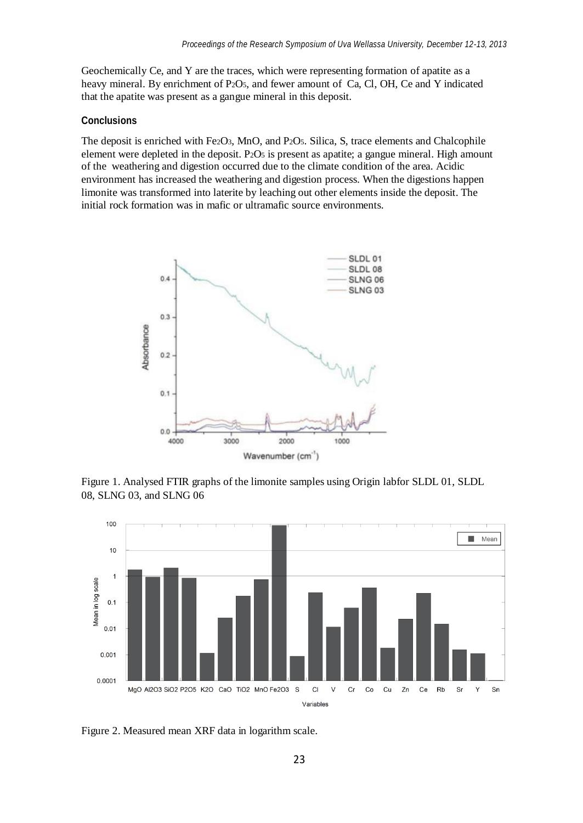Geochemically Ce, and Y are the traces, which were representing formation of apatite as a heavy mineral. By enrichment of P2O5, and fewer amount of Ca, Cl, OH, Ce and Y indicated that the apatite was present as a gangue mineral in this deposit.

#### **Conclusions**

The deposit is enriched with Fe2O3, MnO, and P2O5. Silica, S, trace elements and Chalcophile element were depleted in the deposit. P2O<sup>5</sup> is present as apatite; a gangue mineral. High amount of the weathering and digestion occurred due to the climate condition of the area. Acidic environment has increased the weathering and digestion process. When the digestions happen limonite was transformed into laterite by leaching out other elements inside the deposit. The initial rock formation was in mafic or ultramafic source environments.



Figure 1. Analysed FTIR graphs of the limonite samples using Origin labfor SLDL 01, SLDL 08, SLNG 03, and SLNG 06



Figure 2. Measured mean XRF data in logarithm scale.